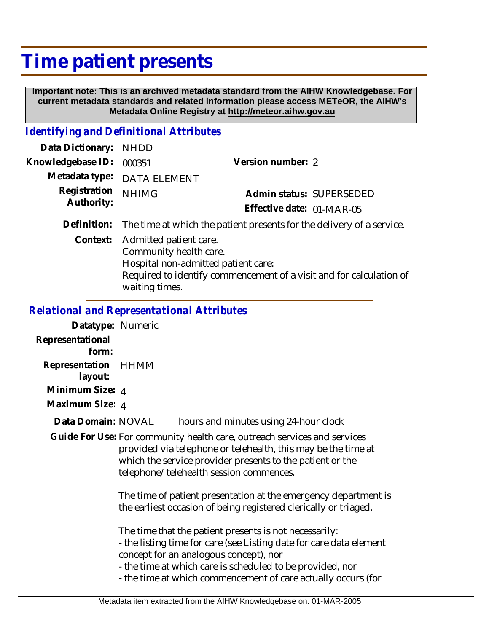# **Time patient presents**

 **Important note: This is an archived metadata standard from the AIHW Knowledgebase. For current metadata standards and related information please access METeOR, the AIHW's Metadata Online Registry at http://meteor.aihw.gov.au**

## *Identifying and Definitional Attributes*

| Data Dictionary:  | <b>NHDD</b>                                                                                               |                                                                       |  |
|-------------------|-----------------------------------------------------------------------------------------------------------|-----------------------------------------------------------------------|--|
| Knowledgebase ID: | 000351                                                                                                    | Version number: 2                                                     |  |
| Metadata type:    | <b>DATA ELEMENT</b>                                                                                       |                                                                       |  |
| Registration      | <b>NHIMG</b>                                                                                              | Admin status: SUPERSEDED                                              |  |
| Authority:        |                                                                                                           | Effective date: 01-MAR-05                                             |  |
| Definition:       |                                                                                                           | The time at which the patient presents for the delivery of a service. |  |
| Context:          | Admitted patient care.<br>Community health care.<br>Hospital non-admitted patient care:<br>waiting times. | Required to identify commencement of a visit and for calculation of   |  |

#### *Relational and Representational Attributes*

**Datatype:** Numeric **Representational form: Representation** HHMM  **layout: Minimum Size:** 4 **Maximum Size:** 4 hours and minutes using 24-hour clock Guide For Use: For community health care, outreach services and services provided via telephone or telehealth, this may be the time at which the service provider presents to the patient or the telephone/telehealth session commences. The time of patient presentation at the emergency department is the earliest occasion of being registered clerically or triaged. The time that the patient presents is not necessarily: - the listing time for care (see Listing date for care data element concept for an analogous concept), nor - the time at which care is scheduled to be provided, nor - the time at which commencement of care actually occurs (for **Data Domain:**